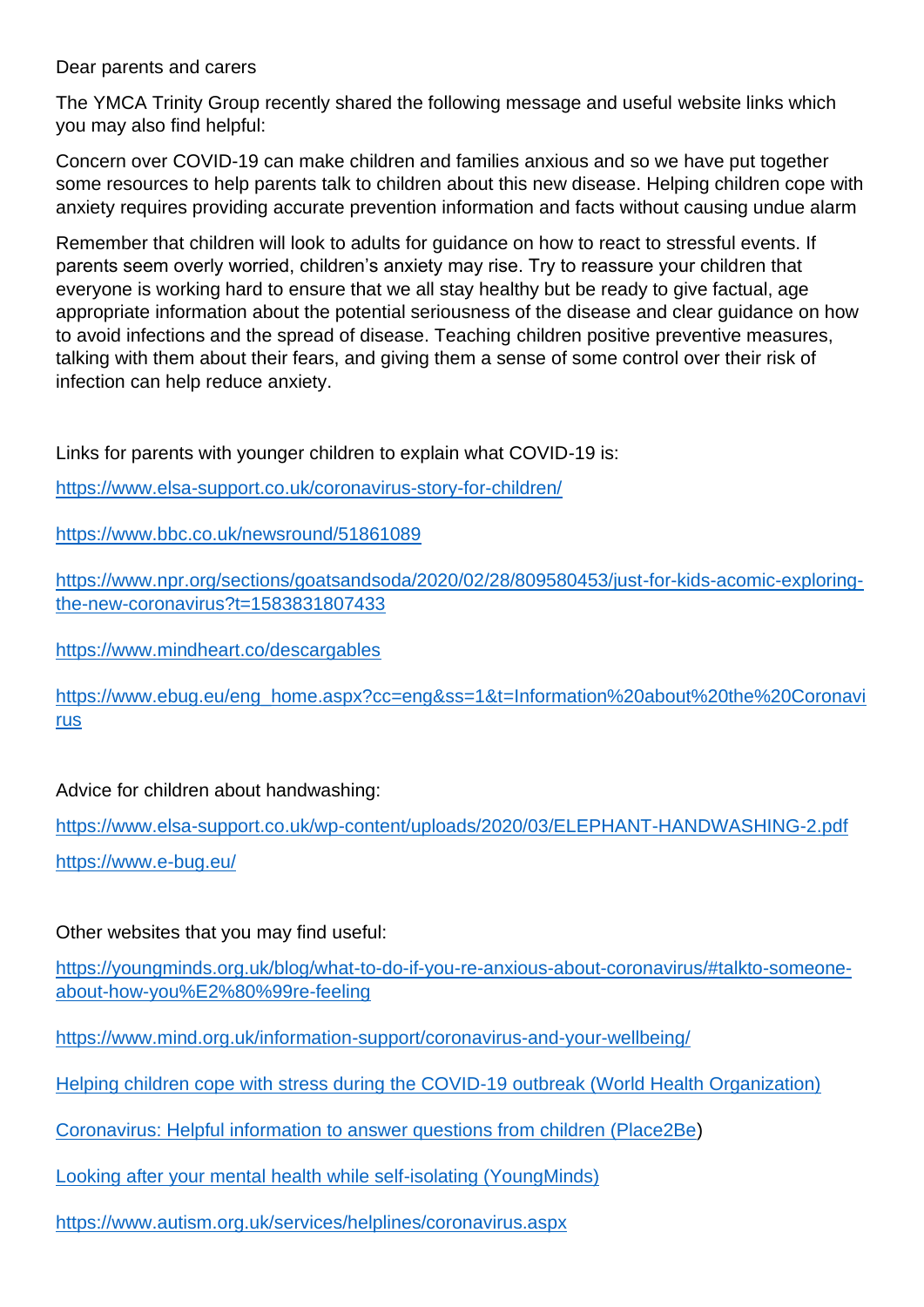Dear parents and carers

The YMCA Trinity Group recently shared the following message and useful website links which you may also find helpful:

Concern over COVID-19 can make children and families anxious and so we have put together some resources to help parents talk to children about this new disease. Helping children cope with anxiety requires providing accurate prevention information and facts without causing undue alarm

Remember that children will look to adults for guidance on how to react to stressful events. If parents seem overly worried, children's anxiety may rise. Try to reassure your children that everyone is working hard to ensure that we all stay healthy but be ready to give factual, age appropriate information about the potential seriousness of the disease and clear guidance on how to avoid infections and the spread of disease. Teaching children positive preventive measures, talking with them about their fears, and giving them a sense of some control over their risk of infection can help reduce anxiety.

Links for parents with younger children to explain what COVID-19 is:

<https://www.elsa-support.co.uk/coronavirus-story-for-children/>

<https://www.bbc.co.uk/newsround/51861089>

[https://www.npr.org/sections/goatsandsoda/2020/02/28/809580453/just-for-kids-acomic-exploring](https://www.npr.org/sections/goatsandsoda/2020/02/28/809580453/just-for-kids-acomic-exploring-the-new-coronavirus?t=1583831807433)[the-new-coronavirus?t=1583831807433](https://www.npr.org/sections/goatsandsoda/2020/02/28/809580453/just-for-kids-acomic-exploring-the-new-coronavirus?t=1583831807433)

<https://www.mindheart.co/descargables>

https://www.ebug.eu/eng\_home.aspx?cc=eng&ss=1&t=Information%20about%20the%20Coronavi [rus](https://www.ebug.eu/eng_home.aspx?cc=eng&ss=1&t=Information%20about%20the%20Coronavi%20rus%20)

Advice for children about handwashing:

<https://www.elsa-support.co.uk/wp-content/uploads/2020/03/ELEPHANT-HANDWASHING-2.pdf> <https://www.e-bug.eu/>

## Other websites that you may find useful:

[https://youngminds.org.uk/blog/what-to-do-if-you-re-anxious-about-coronavirus/#talkto-someone](https://youngminds.org.uk/blog/what-to-do-if-you-re-anxious-about-coronavirus/#talkto-someone-about-how-you%E2%80%99re-feeling)[about-how-you%E2%80%99re-feeling](https://youngminds.org.uk/blog/what-to-do-if-you-re-anxious-about-coronavirus/#talkto-someone-about-how-you%E2%80%99re-feeling)

<https://www.mind.org.uk/information-support/coronavirus-and-your-wellbeing/>

[Helping children cope with stress during the COVID-19 outbreak \(World Health Organization\)](https://www.epi-win.com/all-resources/helping-children-cope-with-stress-during-the-covid-19-outbreak#163961_20200318052635)

[Coronavirus: Helpful information to answer questions from children \(Place2Be\)](https://www.place2be.org.uk/about-us/news-and-blogs/2020/march/coronavirus-information-for-children/)

[Looking after your mental health while self-isolating \(YoungMinds\)](https://youngminds.org.uk/blog/looking-after-your-mental-health-while-self-isolating/)

<https://www.autism.org.uk/services/helplines/coronavirus.aspx>